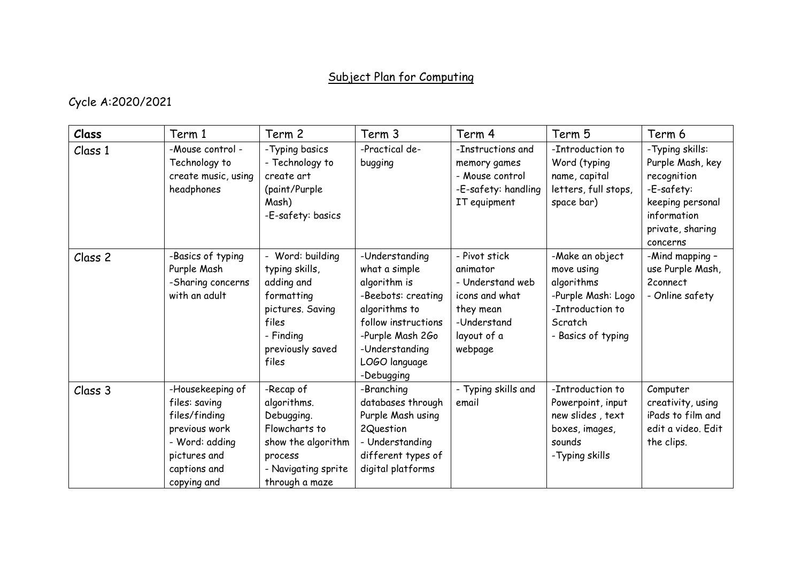## Subject Plan for Computing

## Cycle A:2020/2021

| Class   | Term 1                                                                                                                               | Term 2                                                                                                                                | Term 3                                                                                                                                                                             | Term 4                                                                                                                | Term 5                                                                                                                 | Term 6                                                                                                                              |
|---------|--------------------------------------------------------------------------------------------------------------------------------------|---------------------------------------------------------------------------------------------------------------------------------------|------------------------------------------------------------------------------------------------------------------------------------------------------------------------------------|-----------------------------------------------------------------------------------------------------------------------|------------------------------------------------------------------------------------------------------------------------|-------------------------------------------------------------------------------------------------------------------------------------|
| Class 1 | -Mouse control -<br>Technology to<br>create music, using<br>headphones                                                               | - Typing basics<br>- Technology to<br>create art<br>(paint/Purple<br>Mash)<br>-E-safety: basics                                       | -Practical de-<br>bugging                                                                                                                                                          | -Instructions and<br>memory games<br>- Mouse control<br>-E-safety: handling<br>IT equipment                           | -Introduction to<br>Word (typing<br>name, capital<br>letters, full stops,<br>space bar)                                | -Typing skills:<br>Purple Mash, key<br>recognition<br>-E-safety:<br>keeping personal<br>information<br>private, sharing<br>concerns |
| Class 2 | -Basics of typing<br>Purple Mash<br>-Sharing concerns<br>with an adult                                                               | - Word: building<br>typing skills,<br>adding and<br>formatting<br>pictures. Saving<br>files<br>- Finding<br>previously saved<br>files | -Understanding<br>what a simple<br>algorithm is<br>-Beebots: creating<br>algorithms to<br>follow instructions<br>-Purple Mash 2Go<br>-Understanding<br>LOGO language<br>-Debugging | - Pivot stick<br>animator<br>- Understand web<br>icons and what<br>they mean<br>-Understand<br>layout of a<br>webpage | -Make an object<br>move using<br>algorithms<br>-Purple Mash: Logo<br>-Introduction to<br>Scratch<br>- Basics of typing | -Mind mapping -<br>use Purple Mash,<br>2connect<br>- Online safety                                                                  |
| Class 3 | -Housekeeping of<br>files: saving<br>files/finding<br>previous work<br>- Word: adding<br>pictures and<br>captions and<br>copying and | -Recap of<br>algorithms.<br>Debugging.<br>Flowcharts to<br>show the algorithm<br>process<br>- Navigating sprite<br>through a maze     | -Branching<br>databases through<br>Purple Mash using<br>2Question<br>- Understanding<br>different types of<br>digital platforms                                                    | - Typing skills and<br>email                                                                                          | -Introduction to<br>Powerpoint, input<br>new slides, text<br>boxes, images,<br>sounds<br>-Typing skills                | Computer<br>creativity, using<br>iPads to film and<br>edit a video. Edit<br>the clips.                                              |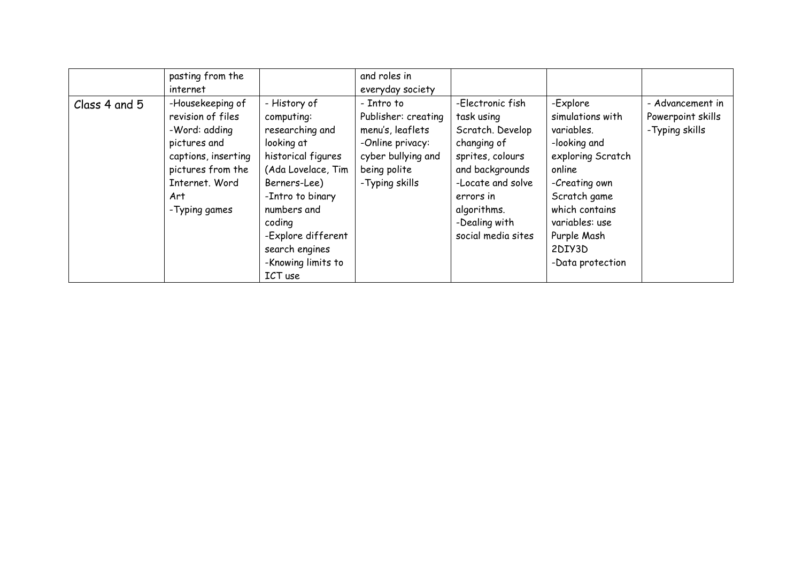|               | pasting from the<br>internet                                                                                                                                 |                                                                                                                                                                                                                                               | and roles in<br>everyday society                                                                                                  |                                                                                                                                                                                                  |                                                                                                                                                                                                             |                                                          |
|---------------|--------------------------------------------------------------------------------------------------------------------------------------------------------------|-----------------------------------------------------------------------------------------------------------------------------------------------------------------------------------------------------------------------------------------------|-----------------------------------------------------------------------------------------------------------------------------------|--------------------------------------------------------------------------------------------------------------------------------------------------------------------------------------------------|-------------------------------------------------------------------------------------------------------------------------------------------------------------------------------------------------------------|----------------------------------------------------------|
| Class 4 and 5 | -Housekeeping of<br>revision of files<br>-Word: adding<br>pictures and<br>captions, inserting<br>pictures from the<br>Internet. Word<br>Art<br>-Typing games | - History of<br>computing:<br>researching and<br>looking at<br>historical figures<br>(Ada Lovelace, Tim<br>Berners-Lee)<br>-Intro to binary<br>numbers and<br>coding<br>-Explore different<br>search engines<br>-Knowing limits to<br>ICT use | - Intro to<br>Publisher: creating<br>menu's, leaflets<br>-Online privacy:<br>cyber bullying and<br>being polite<br>-Typing skills | -Electronic fish<br>task using<br>Scratch. Develop<br>changing of<br>sprites, colours<br>and backgrounds<br>-Locate and solve<br>errors in<br>algorithms.<br>-Dealing with<br>social media sites | -Explore<br>simulations with<br>variables.<br>-looking and<br>exploring Scratch<br>online<br>-Creating own<br>Scratch game<br>which contains<br>variables: use<br>Purple Mash<br>2DIY3D<br>-Data protection | - Advancement in<br>Powerpoint skills<br>- Typing skills |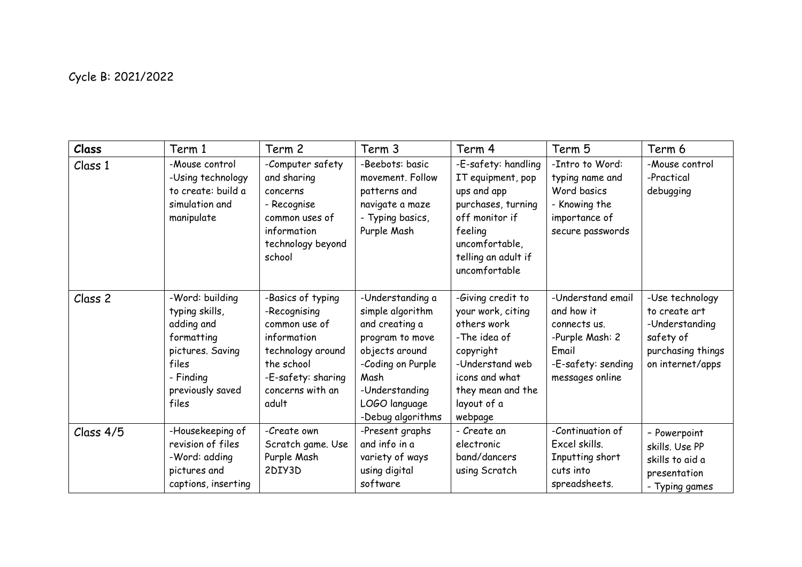## Cycle B: 2021/2022

| Class     | Term 1                                                                                                                               | Term 2                                                                                                                                                  | Term 3                                                                                                                                                                           | Term 4                                                                                                                                                                 | Term 5                                                                                                               | Term 6                                                                                                   |
|-----------|--------------------------------------------------------------------------------------------------------------------------------------|---------------------------------------------------------------------------------------------------------------------------------------------------------|----------------------------------------------------------------------------------------------------------------------------------------------------------------------------------|------------------------------------------------------------------------------------------------------------------------------------------------------------------------|----------------------------------------------------------------------------------------------------------------------|----------------------------------------------------------------------------------------------------------|
| Class 1   | -Mouse control<br>-Using technology<br>to create: build a<br>simulation and<br>manipulate                                            | -Computer safety<br>and sharing<br>concerns<br>- Recognise<br>common uses of<br>information<br>technology beyond<br>school                              | -Beebots: basic<br>movement. Follow<br>patterns and<br>navigate a maze<br>- Typing basics,<br>Purple Mash                                                                        | -E-safety: handling<br>IT equipment, pop<br>ups and app<br>purchases, turning<br>off monitor if<br>feeling<br>uncomfortable,<br>telling an adult if<br>uncomfortable   | -Intro to Word:<br>typing name and<br>Word basics<br>- Knowing the<br>importance of<br>secure passwords              | -Mouse control<br>-Practical<br>debugging                                                                |
| Class 2   | -Word: building<br>typing skills,<br>adding and<br>formatting<br>pictures. Saving<br>files<br>- Finding<br>previously saved<br>files | -Basics of typing<br>-Recognising<br>common use of<br>information<br>technology around<br>the school<br>-E-safety: sharing<br>concerns with an<br>adult | -Understanding a<br>simple algorithm<br>and creating a<br>program to move<br>objects around<br>-Coding on Purple<br>Mash<br>-Understanding<br>LOGO language<br>-Debug algorithms | -Giving credit to<br>your work, citing<br>others work<br>-The idea of<br>copyright<br>-Understand web<br>icons and what<br>they mean and the<br>layout of a<br>webpage | -Understand email<br>and how it<br>connects us.<br>-Purple Mash: 2<br>Email<br>-E-safety: sending<br>messages online | -Use technology<br>to create art<br>-Understanding<br>safety of<br>purchasing things<br>on internet/apps |
| Class 4/5 | -Housekeeping of<br>revision of files<br>-Word: adding<br>pictures and<br>captions, inserting                                        | -Create own<br>Scratch game. Use<br>Purple Mash<br>2DIY3D                                                                                               | -Present graphs<br>and info in a<br>variety of ways<br>using digital<br>software                                                                                                 | - Create an<br>electronic<br>band/dancers<br>using Scratch                                                                                                             | -Continuation of<br>Excel skills.<br>Inputting short<br>cuts into<br>spreadsheets.                                   | - Powerpoint<br>skills. Use PP<br>skills to aid a<br>presentation<br>- Typing games                      |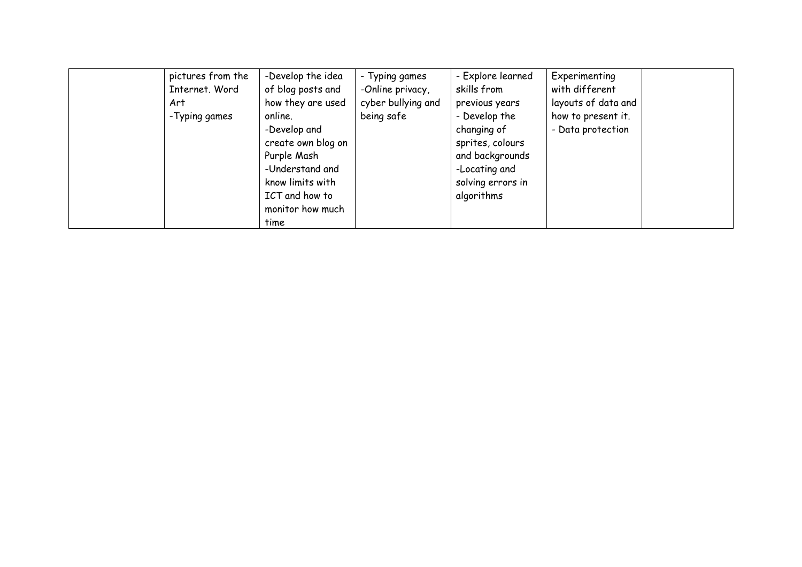| pictures from the | -Develop the idea  | - Typing games     | - Explore learned | Experimenting       |
|-------------------|--------------------|--------------------|-------------------|---------------------|
| Internet. Word    | of blog posts and  | -Online privacy,   | skills from       | with different      |
| Art               | how they are used  | cyber bullying and | previous years    | layouts of data and |
| -Typing games     | online.            | being safe         | - Develop the     | how to present it.  |
|                   | -Develop and       |                    | changing of       | - Data protection   |
|                   | create own blog on |                    | sprites, colours  |                     |
|                   | Purple Mash        |                    | and backgrounds   |                     |
|                   | -Understand and    |                    | -Locating and     |                     |
|                   | know limits with   |                    | solving errors in |                     |
|                   | ICT and how to     |                    | algorithms        |                     |
|                   | monitor how much   |                    |                   |                     |
|                   | time               |                    |                   |                     |